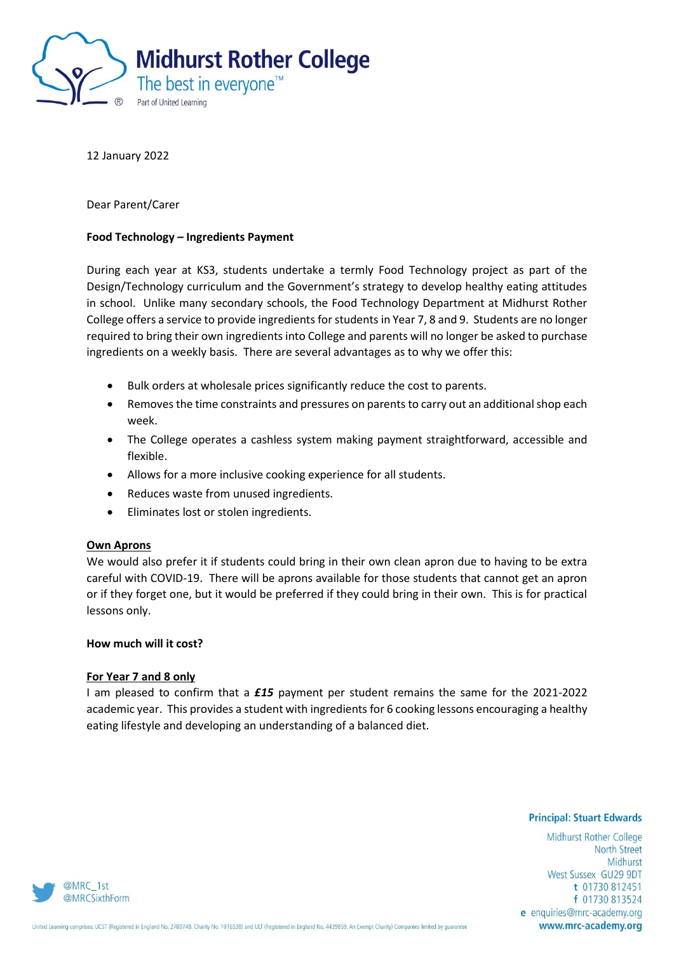

12 January 2022

Dear Parent/Carer

## **Food Technology – Ingredients Payment**

During each year at KS3, students undertake a termly Food Technology project as part of the Design/Technology curriculum and the Government's strategy to develop healthy eating attitudes in school. Unlike many secondary schools, the Food Technology Department at Midhurst Rother College offers a service to provide ingredients for students in Year 7, 8 and 9. Students are no longer required to bring their own ingredients into College and parents will no longer be asked to purchase ingredients on a weekly basis. There are several advantages as to why we offer this:

- Bulk orders at wholesale prices significantly reduce the cost to parents.
- Removes the time constraints and pressures on parents to carry out an additional shop each week.
- The College operates a cashless system making payment straightforward, accessible and flexible.
- Allows for a more inclusive cooking experience for all students.
- Reduces waste from unused ingredients.
- Eliminates lost or stolen ingredients.

## **Own Aprons**

We would also prefer it if students could bring in their own clean apron due to having to be extra careful with COVID-19. There will be aprons available for those students that cannot get an apron or if they forget one, but it would be preferred if they could bring in their own. This is for practical lessons only.

# **How much will it cost?**

#### **For Year 7 and 8 only**

I am pleased to confirm that a *£15* payment per student remains the same for the 2021-2022 academic year. This provides a student with ingredients for 6 cooking lessons encouraging a healthy eating lifestyle and developing an understanding of a balanced diet.

#### **Principal: Stuart Edwards**

Midhurst Rother College **North Street** Midhurst West Sussex GU29 9DT t 01730 812451 f 01730 813524 e enquiries@mrc-academy.org www.mrc-academy.org